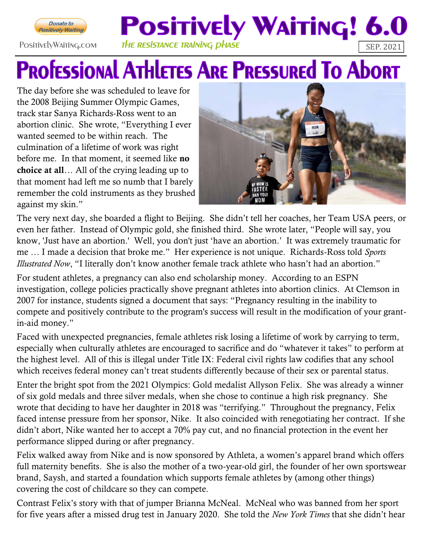

## **POSITIVELY WAITING! 6.0** PositivelyWaiting.com THE RESISTANCE TRAINING DHASE

## **PROFESSIONAL ATHLETES ARE PRESSURED TO AbORT**

The day before she was scheduled to leave for the 2008 Beijing Summer Olympic Games, track star Sanya Richards-Ross went to an abortion clinic. She wrote, "Everything I ever wanted seemed to be within reach. The culmination of a lifetime of work was right before me. In that moment, it seemed like **no** choice at all… All of the crying leading up to that moment had left me so numb that I barely remember the cold instruments as they brushed against my skin."



The very next day, she boarded a flight to Beijing. She didn't tell her coaches, her Team USA peers, or even her father. Instead of Olympic gold, she finished third. She wrote later, "People will say, you know, 'Just have an abortion.' Well, you don't just 'have an abortion.' It was extremely traumatic for me … I made a decision that broke me." Her experience is not unique. Richards-Ross told *Sports Illustrated Now*, "I literally don't know another female track athlete who hasn't had an abortion."

For student athletes, a pregnancy can also end scholarship money. According to an ESPN investigation, college policies practically shove pregnant athletes into abortion clinics. At Clemson in 2007 for instance, students signed a document that says: "Pregnancy resulting in the inability to compete and positively contribute to the program's success will result in the modification of your grantin-aid money."

Faced with unexpected pregnancies, female athletes risk losing a lifetime of work by carrying to term, especially when culturally athletes are encouraged to sacrifice and do "whatever it takes" to perform at the highest level. All of this is illegal under Title IX: Federal civil rights law codifies that any school which receives federal money can't treat students differently because of their sex or parental status.

Enter the bright spot from the 2021 Olympics: Gold medalist Allyson Felix. She was already a winner of six gold medals and three silver medals, when she chose to continue a high risk pregnancy. She wrote that deciding to have her daughter in 2018 was "terrifying." Throughout the pregnancy, Felix faced intense pressure from her sponsor, Nike. It also coincided with renegotiating her contract. If she didn't abort, Nike wanted her to accept a 70% pay cut, and no financial protection in the event her performance slipped during or after pregnancy.

Felix walked away from Nike and is now sponsored by Athleta, a women's apparel brand which offers full maternity benefits. She is also the mother of a two-year-old girl, the founder of her own sportswear brand, Saysh, and started a foundation which supports female athletes by (among other things) covering the cost of childcare so they can compete.

Contrast Felix's story with that of jumper Brianna McNeal. McNeal who was banned from her sport for five years after a missed drug test in January 2020. She told the *New York Times* that she didn't hear